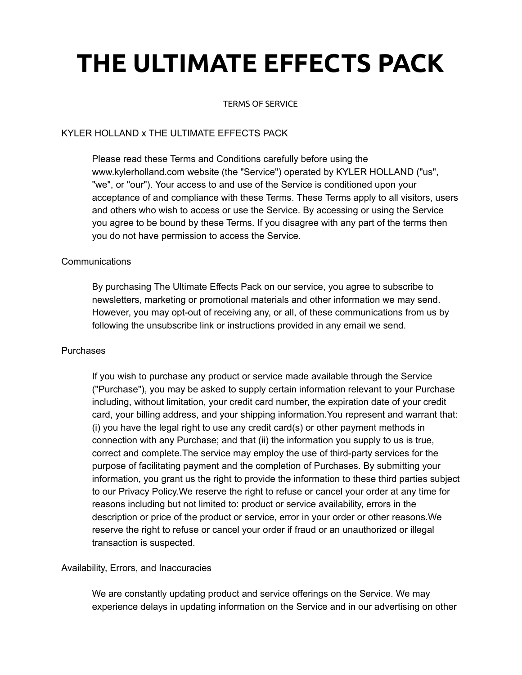# **THE ULTIMATE EFFECTS PACK**

#### TERMS OF SERVICE

# KYLER HOLLAND x THE ULTIMATE EFFECTS PACK

Please read these Terms and Conditions carefully before using the www.kylerholland.com website (the "Service") operated by KYLER HOLLAND ("us", "we", or "our"). Your access to and use of the Service is conditioned upon your acceptance of and compliance with these Terms. These Terms apply to all visitors, users and others who wish to access or use the Service. By accessing or using the Service you agree to be bound by these Terms. If you disagree with any part of the terms then you do not have permission to access the Service.

### Communications

By purchasing The Ultimate Effects Pack on our service, you agree to subscribe to newsletters, marketing or promotional materials and other information we may send. However, you may opt-out of receiving any, or all, of these communications from us by following the unsubscribe link or instructions provided in any email we send.

#### Purchases

If you wish to purchase any product or service made available through the Service ("Purchase"), you may be asked to supply certain information relevant to your Purchase including, without limitation, your credit card number, the expiration date of your credit card, your billing address, and your shipping information.You represent and warrant that: (i) you have the legal right to use any credit card(s) or other payment methods in connection with any Purchase; and that (ii) the information you supply to us is true, correct and complete.The service may employ the use of third-party services for the purpose of facilitating payment and the completion of Purchases. By submitting your information, you grant us the right to provide the information to these third parties subject to our Privacy Policy.We reserve the right to refuse or cancel your order at any time for reasons including but not limited to: product or service availability, errors in the description or price of the product or service, error in your order or other reasons.We reserve the right to refuse or cancel your order if fraud or an unauthorized or illegal transaction is suspected.

## Availability, Errors, and Inaccuracies

We are constantly updating product and service offerings on the Service. We may experience delays in updating information on the Service and in our advertising on other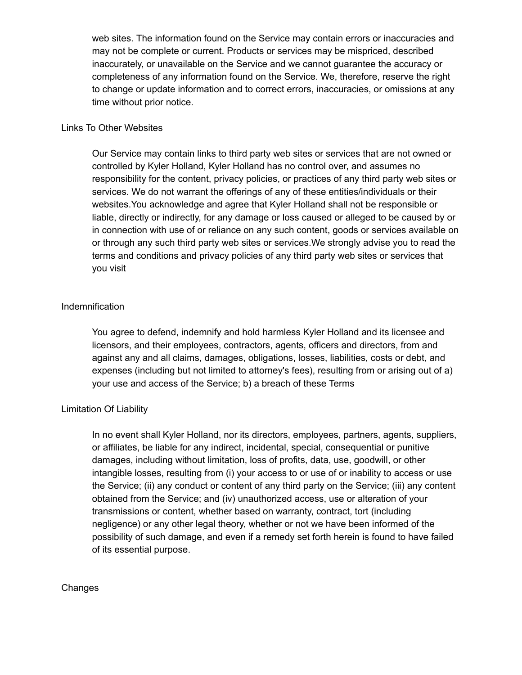web sites. The information found on the Service may contain errors or inaccuracies and may not be complete or current. Products or services may be mispriced, described inaccurately, or unavailable on the Service and we cannot guarantee the accuracy or completeness of any information found on the Service. We, therefore, reserve the right to change or update information and to correct errors, inaccuracies, or omissions at any time without prior notice.

### Links To Other Websites

Our Service may contain links to third party web sites or services that are not owned or controlled by Kyler Holland, Kyler Holland has no control over, and assumes no responsibility for the content, privacy policies, or practices of any third party web sites or services. We do not warrant the offerings of any of these entities/individuals or their websites.You acknowledge and agree that Kyler Holland shall not be responsible or liable, directly or indirectly, for any damage or loss caused or alleged to be caused by or in connection with use of or reliance on any such content, goods or services available on or through any such third party web sites or services.We strongly advise you to read the terms and conditions and privacy policies of any third party web sites or services that you visit

## Indemnification

You agree to defend, indemnify and hold harmless Kyler Holland and its licensee and licensors, and their employees, contractors, agents, officers and directors, from and against any and all claims, damages, obligations, losses, liabilities, costs or debt, and expenses (including but not limited to attorney's fees), resulting from or arising out of a) your use and access of the Service; b) a breach of these Terms

## Limitation Of Liability

In no event shall Kyler Holland, nor its directors, employees, partners, agents, suppliers, or affiliates, be liable for any indirect, incidental, special, consequential or punitive damages, including without limitation, loss of profits, data, use, goodwill, or other intangible losses, resulting from (i) your access to or use of or inability to access or use the Service; (ii) any conduct or content of any third party on the Service; (iii) any content obtained from the Service; and (iv) unauthorized access, use or alteration of your transmissions or content, whether based on warranty, contract, tort (including negligence) or any other legal theory, whether or not we have been informed of the possibility of such damage, and even if a remedy set forth herein is found to have failed of its essential purpose.

#### Changes